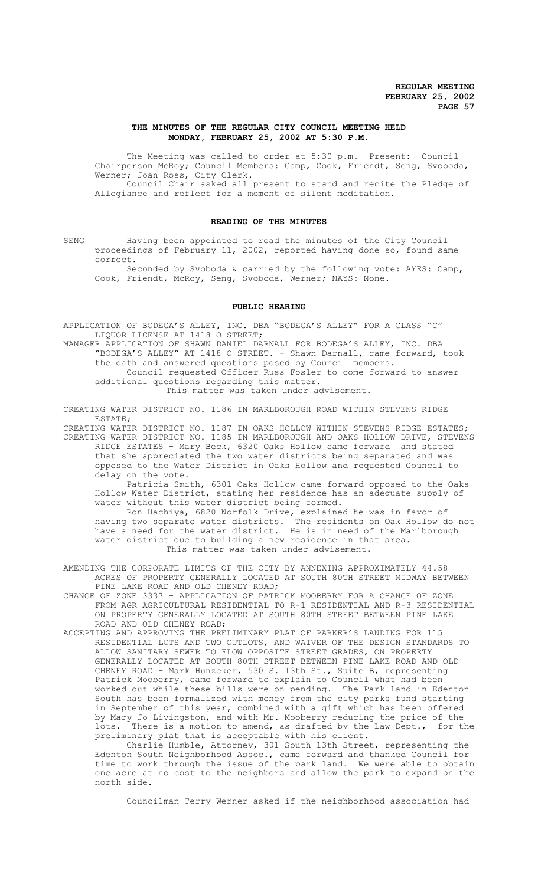# **THE MINUTES OF THE REGULAR CITY COUNCIL MEETING HELD MONDAY, FEBRUARY 25, 2002 AT 5:30 P.M.**

The Meeting was called to order at 5:30 p.m. Present: Council Chairperson McRoy; Council Members: Camp, Cook, Friendt, Seng, Svoboda, Werner; Joan Ross, City Clerk.

Council Chair asked all present to stand and recite the Pledge of Allegiance and reflect for a moment of silent meditation.

# **READING OF THE MINUTES**

SENG Having been appointed to read the minutes of the City Council proceedings of February 11, 2002, reported having done so, found same correct.

Seconded by Svoboda & carried by the following vote: AYES: Camp, Cook, Friendt, McRoy, Seng, Svoboda, Werner; NAYS: None.

#### **PUBLIC HEARING**

APPLICATION OF BODEGA'S ALLEY, INC. DBA "BODEGA'S ALLEY" FOR A CLASS "C" LIQUOR LICENSE AT 1418 O STREET;

MANAGER APPLICATION OF SHAWN DANIEL DARNALL FOR BODEGA'S ALLEY, INC. DBA "BODEGA'S ALLEY" AT 1418 O STREET. - Shawn Darnall, came forward, took the oath and answered questions posed by Council members.

Council requested Officer Russ Fosler to come forward to answer additional questions regarding this matter.

This matter was taken under advisement.

CREATING WATER DISTRICT NO. 1186 IN MARLBOROUGH ROAD WITHIN STEVENS RIDGE ESTATE;

CREATING WATER DISTRICT NO. 1187 IN OAKS HOLLOW WITHIN STEVENS RIDGE ESTATES; CREATING WATER DISTRICT NO. 1185 IN MARLBOROUGH AND OAKS HOLLOW DRIVE, STEVENS RIDGE ESTATES - Mary Beck, 6320 Oaks Hollow came forward and stated that she appreciated the two water districts being separated and was opposed to the Water District in Oaks Hollow and requested Council to delay on the vote.

Patricia Smith, 6301 Oaks Hollow came forward opposed to the Oaks Hollow Water District, stating her residence has an adequate supply of water without this water district being formed.

Ron Hachiya, 6820 Norfolk Drive, explained he was in favor of having two separate water districts. The residents on Oak Hollow do not have a need for the water district. He is in need of the Marlborough water district due to building a new residence in that area. This matter was taken under advisement.

AMENDING THE CORPORATE LIMITS OF THE CITY BY ANNEXING APPROXIMATELY 44.58 ACRES OF PROPERTY GENERALLY LOCATED AT SOUTH 80TH STREET MIDWAY BETWEEN PINE LAKE ROAD AND OLD CHENEY ROAD;

- CHANGE OF ZONE 3337 APPLICATION OF PATRICK MOOBERRY FOR A CHANGE OF ZONE FROM AGR AGRICULTURAL RESIDENTIAL TO R-1 RESIDENTIAL AND R-3 RESIDENTIAL ON PROPERTY GENERALLY LOCATED AT SOUTH 80TH STREET BETWEEN PINE LAKE ROAD AND OLD CHENEY ROAD;
- ACCEPTING AND APPROVING THE PRELIMINARY PLAT OF PARKER'S LANDING FOR 115 RESIDENTIAL LOTS AND TWO OUTLOTS, AND WAIVER OF THE DESIGN STANDARDS TO ALLOW SANITARY SEWER TO FLOW OPPOSITE STREET GRADES, ON PROPERTY GENERALLY LOCATED AT SOUTH 80TH STREET BETWEEN PINE LAKE ROAD AND OLD CHENEY ROAD - Mark Hunzeker, 530 S. 13th St., Suite B, representing Patrick Mooberry, came forward to explain to Council what had been worked out while these bills were on pending. The Park land in Edenton South has been formalized with money from the city parks fund starting in September of this year, combined with a gift which has been offered by Mary Jo Livingston, and with Mr. Mooberry reducing the price of the lots. There is a motion to amend, as drafted by the Law Dept., for the preliminary plat that is acceptable with his client.

Charlie Humble, Attorney, 301 South 13th Street, representing the Edenton South Neighborhood Assoc., came forward and thanked Council for time to work through the issue of the park land. We were able to obtain one acre at no cost to the neighbors and allow the park to expand on the north side.

Councilman Terry Werner asked if the neighborhood association had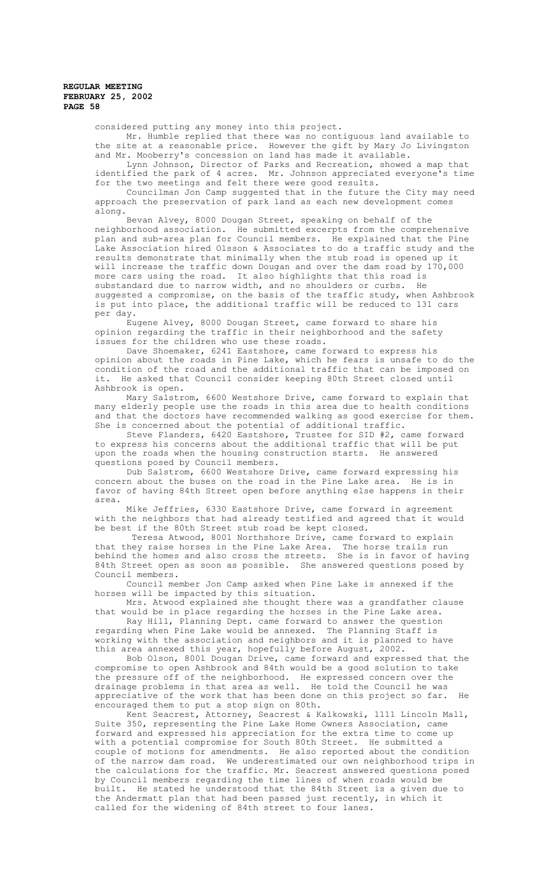considered putting any money into this project.

Mr. Humble replied that there was no contiguous land available to the site at a reasonable price. However the gift by Mary Jo Livingston and Mr. Mooberry's concession on land has made it available.

Lynn Johnson, Director of Parks and Recreation, showed a map that identified the park of 4 acres. Mr. Johnson appreciated everyone's time for the two meetings and felt there were good results.

Councilman Jon Camp suggested that in the future the City may need approach the preservation of park land as each new development comes along.

Bevan Alvey, 8000 Dougan Street, speaking on behalf of the neighborhood association. He submitted excerpts from the comprehensive plan and sub-area plan for Council members. He explained that the Pine Lake Association hired Olsson & Associates to do a traffic study and the results demonstrate that minimally when the stub road is opened up it will increase the traffic down Dougan and over the dam road by 170,000 more cars using the road. It also highlights that this road is substandard due to narrow width, and no shoulders or curbs. He suggested a compromise, on the basis of the traffic study, when Ashbrook is put into place, the additional traffic will be reduced to 131 cars per day.

Eugene Alvey, 8000 Dougan Street, came forward to share his opinion regarding the traffic in their neighborhood and the safety issues for the children who use these roads.

Dave Shoemaker, 6241 Eastshore, came forward to express his opinion about the roads in Pine Lake, which he fears is unsafe to do the condition of the road and the additional traffic that can be imposed on it. He asked that Council consider keeping 80th Street closed until Ashbrook is open.

Mary Salstrom, 6600 Westshore Drive, came forward to explain that many elderly people use the roads in this area due to health conditions and that the doctors have recommended walking as good exercise for them. She is concerned about the potential of additional traffic.

Steve Flanders, 6420 Eastshore, Trustee for SID #2, came forward to express his concerns about the additional traffic that will be put upon the roads when the housing construction starts. He answered questions posed by Council members.

Dub Salstrom, 6600 Westshore Drive, came forward expressing his concern about the buses on the road in the Pine Lake area. He is in favor of having 84th Street open before anything else happens in their area.

Mike Jeffries, 6330 Eastshore Drive, came forward in agreement with the neighbors that had already testified and agreed that it would be best if the 80th Street stub road be kept closed.

 Teresa Atwood, 8001 Northshore Drive, came forward to explain that they raise horses in the Pine Lake Area. The horse trails run behind the homes and also cross the streets. She is in favor of having 84th Street open as soon as possible. She answered questions posed by Council members.

Council member Jon Camp asked when Pine Lake is annexed if the horses will be impacted by this situation.

Mrs. Atwood explained she thought there was a grandfather clause that would be in place regarding the horses in the Pine Lake area.

Ray Hill, Planning Dept. came forward to answer the question regarding when Pine Lake would be annexed. The Planning Staff is working with the association and neighbors and it is planned to have this area annexed this year, hopefully before August, 2002.

Bob Olson, 8001 Dougan Drive, came forward and expressed that the compromise to open Ashbrook and 84th would be a good solution to take the pressure off of the neighborhood. He expressed concern over the drainage problems in that area as well. He told the Council he was appreciative of the work that has been done on this project so far. encouraged them to put a stop sign on 80th.

Kent Seacrest, Attorney, Seacrest & Kalkowski, 1111 Lincoln Mall, Suite 350, representing the Pine Lake Home Owners Association, came forward and expressed his appreciation for the extra time to come up with a potential compromise for South 80th Street. He submitted a couple of motions for amendments. He also reported about the condition of the narrow dam road. We underestimated our own neighborhood trips in the calculations for the traffic. Mr. Seacrest answered questions posed by Council members regarding the time lines of when roads would be built. He stated he understood that the 84th Street is a given due to the Andermatt plan that had been passed just recently, in which it called for the widening of 84th street to four lanes.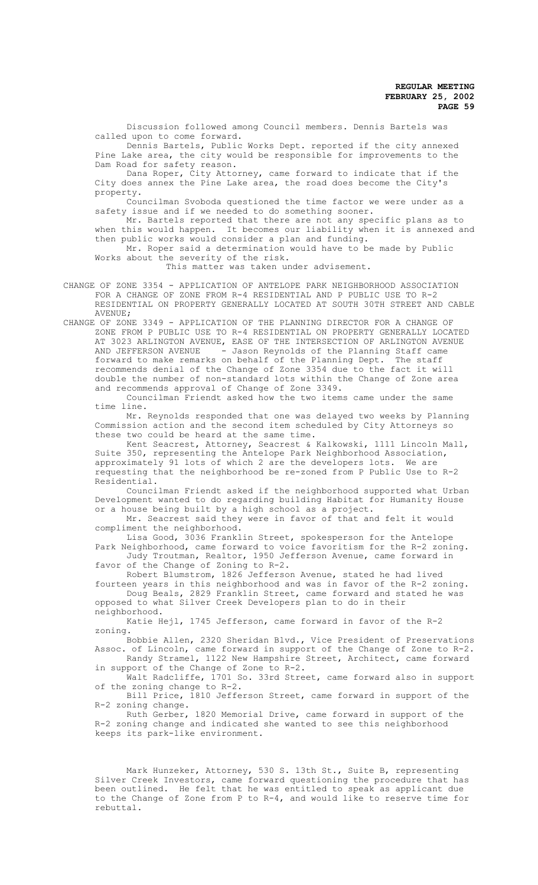Discussion followed among Council members. Dennis Bartels was called upon to come forward.

Dennis Bartels, Public Works Dept. reported if the city annexed Pine Lake area, the city would be responsible for improvements to the Dam Road for safety reason.

Dana Roper, City Attorney, came forward to indicate that if the City does annex the Pine Lake area, the road does become the City's property.

Councilman Svoboda questioned the time factor we were under as a safety issue and if we needed to do something sooner.

Mr. Bartels reported that there are not any specific plans as to when this would happen. It becomes our liability when it is annexed and then public works would consider a plan and funding.

Mr. Roper said a determination would have to be made by Public Works about the severity of the risk.

This matter was taken under advisement.

CHANGE OF ZONE 3354 - APPLICATION OF ANTELOPE PARK NEIGHBORHOOD ASSOCIATION FOR A CHANGE OF ZONE FROM R-4 RESIDENTIAL AND P PUBLIC USE TO R-2 RESIDENTIAL ON PROPERTY GENERALLY LOCATED AT SOUTH 30TH STREET AND CABLE AVENUE;

CHANGE OF ZONE 3349 - APPLICATION OF THE PLANNING DIRECTOR FOR A CHANGE OF ZONE FROM P PUBLIC USE TO R-4 RESIDENTIAL ON PROPERTY GENERALLY LOCATED AT 3023 ARLINGTON AVENUE, EASE OF THE INTERSECTION OF ARLINGTON AVENUE<br>AND JEFFERSON AVENUE - Jason Revnolds of the Planning Staff came - Jason Reynolds of the Planning Staff came forward to make remarks on behalf of the Planning Dept. The staff recommends denial of the Change of Zone 3354 due to the fact it will double the number of non-standard lots within the Change of Zone area and recommends approval of Change of Zone 3349.

Councilman Friendt asked how the two items came under the same time line.

Mr. Reynolds responded that one was delayed two weeks by Planning Commission action and the second item scheduled by City Attorneys so these two could be heard at the same time.

Kent Seacrest, Attorney, Seacrest & Kalkowski, 1111 Lincoln Mall, Suite 350, representing the Antelope Park Neighborhood Association, approximately 91 lots of which 2 are the developers lots. We are requesting that the neighborhood be re-zoned from P Public Use to R-2 Residential.

Councilman Friendt asked if the neighborhood supported what Urban Development wanted to do regarding building Habitat for Humanity House or a house being built by a high school as a project.

Mr. Seacrest said they were in favor of that and felt it would compliment the neighborhood.

Lisa Good, 3036 Franklin Street, spokesperson for the Antelope Park Neighborhood, came forward to voice favoritism for the R-2 zoning. Judy Troutman, Realtor, 1950 Jefferson Avenue, came forward in favor of the Change of Zoning to R-2.

Robert Blumstrom, 1826 Jefferson Avenue, stated he had lived fourteen years in this neighborhood and was in favor of the R-2 zoning. Doug Beals, 2829 Franklin Street, came forward and stated he was

opposed to what Silver Creek Developers plan to do in their neighborhood.

Katie Hejl, 1745 Jefferson, came forward in favor of the R-2 zoning.

Bobbie Allen, 2320 Sheridan Blvd., Vice President of Preservations Assoc. of Lincoln, came forward in support of the Change of Zone to R-2. Randy Stramel, 1122 New Hampshire Street, Architect, came forward

in support of the Change of Zone to R-2. Walt Radcliffe, 1701 So. 33rd Street, came forward also in support

of the zoning change to R-2. Bill Price, 1810 Jefferson Street, came forward in support of the R-2 zoning change.

Ruth Gerber, 1820 Memorial Drive, came forward in support of the R-2 zoning change and indicated she wanted to see this neighborhood keeps its park-like environment.

Mark Hunzeker, Attorney, 530 S. 13th St., Suite B, representing Silver Creek Investors, came forward questioning the procedure that has been outlined. He felt that he was entitled to speak as applicant due to the Change of Zone from P to R-4, and would like to reserve time for rebuttal.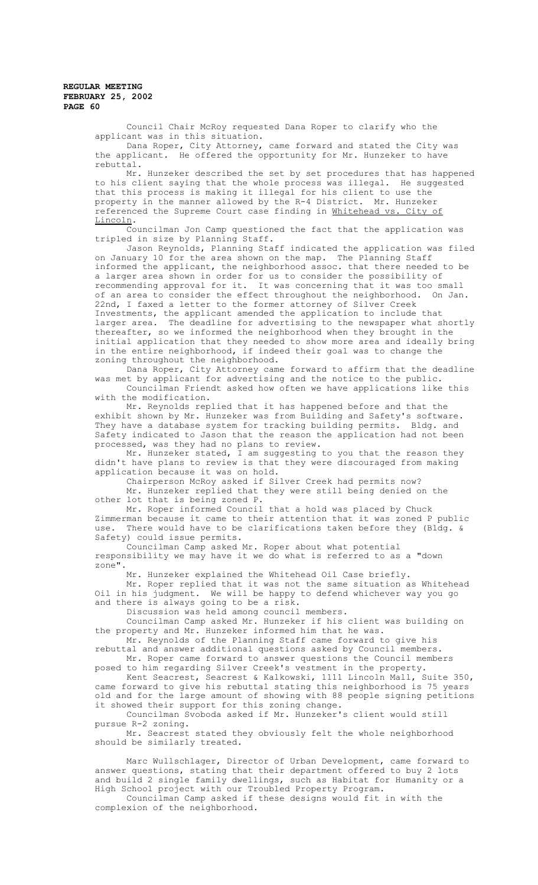Council Chair McRoy requested Dana Roper to clarify who the applicant was in this situation.

Dana Roper, City Attorney, came forward and stated the City was the applicant. He offered the opportunity for Mr. Hunzeker to have rebuttal.

Mr. Hunzeker described the set by set procedures that has happened to his client saying that the whole process was illegal. He suggested that this process is making it illegal for his client to use the property in the manner allowed by the R-4 District. Mr. Hunzeker referenced the Supreme Court case finding in Whitehead vs. City of Lincoln.

Councilman Jon Camp questioned the fact that the application was tripled in size by Planning Staff.

Jason Reynolds, Planning Staff indicated the application was filed on January 10 for the area shown on the map. The Planning Staff informed the applicant, the neighborhood assoc. that there needed to be a larger area shown in order for us to consider the possibility of recommending approval for it. It was concerning that it was too small<br>of an area to consider the effect throughout the neighborhood. On Jan. of an area to consider the effect throughout the neighborhood. 22nd, I faxed a letter to the former attorney of Silver Creek Investments, the applicant amended the application to include that larger area. The deadline for advertising to the newspaper what shortly thereafter, so we informed the neighborhood when they brought in the initial application that they needed to show more area and ideally bring

in the entire neighborhood, if indeed their goal was to change the zoning throughout the neighborhood.

Dana Roper, City Attorney came forward to affirm that the deadline was met by applicant for advertising and the notice to the public. Councilman Friendt asked how often we have applications like this with the modification.

Mr. Reynolds replied that it has happened before and that the exhibit shown by Mr. Hunzeker was from Building and Safety's software. They have a database system for tracking building permits. Bldg. and Safety indicated to Jason that the reason the application had not been processed, was they had no plans to review.

Mr. Hunzeker stated, I am suggesting to you that the reason they didn't have plans to review is that they were discouraged from making application because it was on hold.

Chairperson McRoy asked if Silver Creek had permits now? Mr. Hunzeker replied that they were still being denied on the other lot that is being zoned P.

Mr. Roper informed Council that a hold was placed by Chuck Zimmerman because it came to their attention that it was zoned P public use. There would have to be clarifications taken before they (Bldg. & Safety) could issue permits.

Councilman Camp asked Mr. Roper about what potential responsibility we may have it we do what is referred to as a "down zone".

Mr. Hunzeker explained the Whitehead Oil Case briefly.

Mr. Roper replied that it was not the same situation as Whitehead Oil in his judgment. We will be happy to defend whichever way you go and there is always going to be a risk.

Discussion was held among council members.

Councilman Camp asked Mr. Hunzeker if his client was building on the property and Mr. Hunzeker informed him that he was.

Mr. Reynolds of the Planning Staff came forward to give his rebuttal and answer additional questions asked by Council members.

Mr. Roper came forward to answer questions the Council members posed to him regarding Silver Creek's vestment in the property.

Kent Seacrest, Seacrest & Kalkowski, 1111 Lincoln Mall, Suite 350, came forward to give his rebuttal stating this neighborhood is 75 years old and for the large amount of showing with 88 people signing petitions it showed their support for this zoning change.

Councilman Svoboda asked if Mr. Hunzeker's client would still pursue R-2 zoning.

Mr. Seacrest stated they obviously felt the whole neighborhood should be similarly treated.

Marc Wullschlager, Director of Urban Development, came forward to answer questions, stating that their department offered to buy 2 lots and build 2 single family dwellings, such as Habitat for Humanity or a High School project with our Troubled Property Program.

Councilman Camp asked if these designs would fit in with the complexion of the neighborhood.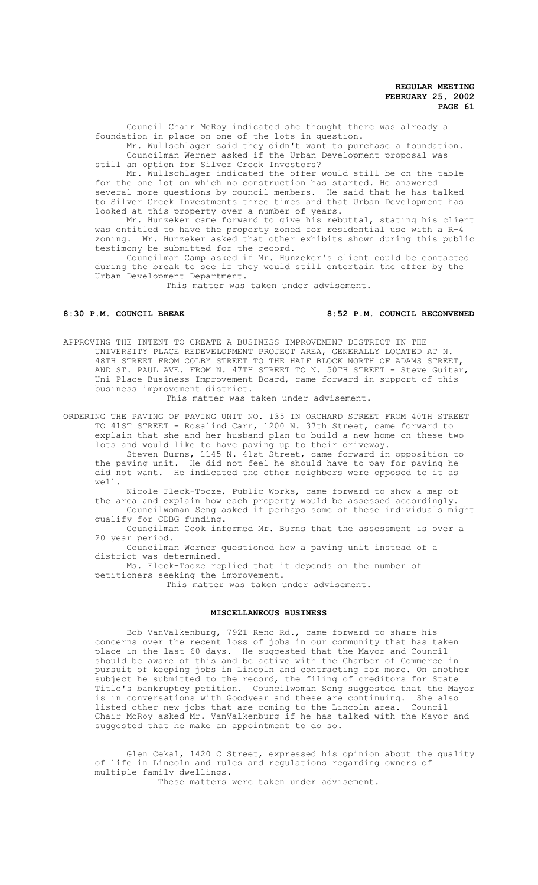Council Chair McRoy indicated she thought there was already a foundation in place on one of the lots in question.

 Mr. Wullschlager said they didn't want to purchase a foundation. Councilman Werner asked if the Urban Development proposal was still an option for Silver Creek Investors?

Mr. Wullschlager indicated the offer would still be on the table for the one lot on which no construction has started. He answered several more questions by council members. He said that he has talked to Silver Creek Investments three times and that Urban Development has looked at this property over a number of years.

Mr. Hunzeker came forward to give his rebuttal, stating his client was entitled to have the property zoned for residential use with a R-4 zoning. Mr. Hunzeker asked that other exhibits shown during this public testimony be submitted for the record.

Councilman Camp asked if Mr. Hunzeker's client could be contacted during the break to see if they would still entertain the offer by the Urban Development Department.

This matter was taken under advisement.

# **8:30 P.M. COUNCIL BREAK 8:52 P.M. COUNCIL RECONVENED**

APPROVING THE INTENT TO CREATE A BUSINESS IMPROVEMENT DISTRICT IN THE UNIVERSITY PLACE REDEVELOPMENT PROJECT AREA, GENERALLY LOCATED AT N. 48TH STREET FROM COLBY STREET TO THE HALF BLOCK NORTH OF ADAMS STREET, AND ST. PAUL AVE. FROM N. 47TH STREET TO N. 50TH STREET - Steve Guitar, Uni Place Business Improvement Board, came forward in support of this business improvement district.

This matter was taken under advisement.

ORDERING THE PAVING OF PAVING UNIT NO. 135 IN ORCHARD STREET FROM 40TH STREET TO 41ST STREET - Rosalind Carr, 1200 N. 37th Street, came forward to explain that she and her husband plan to build a new home on these two lots and would like to have paving up to their driveway.

Steven Burns, 1145 N. 41st Street, came forward in opposition to the paving unit. He did not feel he should have to pay for paving he did not want. He indicated the other neighbors were opposed to it as well.

Nicole Fleck-Tooze, Public Works, came forward to show a map of the area and explain how each property would be assessed accordingly.

Councilwoman Seng asked if perhaps some of these individuals might qualify for CDBG funding.

Councilman Cook informed Mr. Burns that the assessment is over a 20 year period.

Councilman Werner questioned how a paving unit instead of a district was determined.

Ms. Fleck-Tooze replied that it depends on the number of petitioners seeking the improvement.

This matter was taken under advisement.

#### **MISCELLANEOUS BUSINESS**

Bob VanValkenburg, 7921 Reno Rd., came forward to share his concerns over the recent loss of jobs in our community that has taken place in the last 60 days. He suggested that the Mayor and Council should be aware of this and be active with the Chamber of Commerce in pursuit of keeping jobs in Lincoln and contracting for more. On another subject he submitted to the record, the filing of creditors for State Title's bankruptcy petition. Councilwoman Seng suggested that the Mayor is in conversations with Goodyear and these are continuing. She also<br>listed other new jobs that are coming to the Lincoln area. Council listed other new jobs that are coming to the Lincoln area. Chair McRoy asked Mr. VanValkenburg if he has talked with the Mayor and suggested that he make an appointment to do so.

Glen Cekal, 1420 C Street, expressed his opinion about the quality of life in Lincoln and rules and regulations regarding owners of multiple family dwellings.

These matters were taken under advisement.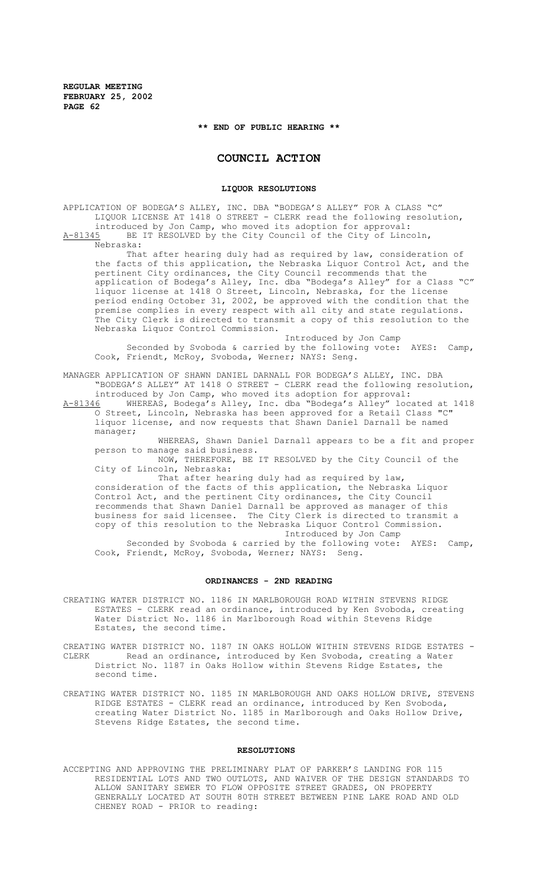**\*\* END OF PUBLIC HEARING \*\***

# **COUNCIL ACTION**

#### **LIQUOR RESOLUTIONS**

APPLICATION OF BODEGA'S ALLEY, INC. DBA "BODEGA'S ALLEY" FOR A CLASS "C" LIQUOR LICENSE AT 1418 O STREET - CLERK read the following resolution, introduced by Jon Camp, who moved its adoption for approval: A-81345 BE IT RESOLVED by the City Council of the City of Lincoln, Nebraska: That after hearing duly had as required by law, consideration of the facts of this application, the Nebraska Liquor Control Act, and the pertinent City ordinances, the City Council recommends that the application of Bodega's Alley, Inc. dba "Bodega's Alley" for a Class "C" liquor license at 1418 O Street, Lincoln, Nebraska, for the license period ending October 31, 2002, be approved with the condition that the

premise complies in every respect with all city and state regulations. The City Clerk is directed to transmit a copy of this resolution to the Nebraska Liquor Control Commission.

Introduced by Jon Camp Seconded by Svoboda & carried by the following vote: AYES: Camp, Cook, Friendt, McRoy, Svoboda, Werner; NAYS: Seng.

MANAGER APPLICATION OF SHAWN DANIEL DARNALL FOR BODEGA'S ALLEY, INC. DBA "BODEGA'S ALLEY" AT 1418 O STREET - CLERK read the following resolution, introduced by Jon Camp, who moved its adoption for approval:

A-81346 WHEREAS, Bodega's Alley, Inc. dba "Bodega's Alley" located at 1418 O Street, Lincoln, Nebraska has been approved for a Retail Class "C" liquor license, and now requests that Shawn Daniel Darnall be named manager;

WHEREAS, Shawn Daniel Darnall appears to be a fit and proper person to manage said business.

NOW, THEREFORE, BE IT RESOLVED by the City Council of the City of Lincoln, Nebraska:

That after hearing duly had as required by law, consideration of the facts of this application, the Nebraska Liquor Control Act, and the pertinent City ordinances, the City Council recommends that Shawn Daniel Darnall be approved as manager of this business for said licensee. The City Clerk is directed to transmit a copy of this resolution to the Nebraska Liquor Control Commission. Introduced by Jon Camp

Seconded by Svoboda & carried by the following vote: AYES: Camp, Cook, Friendt, McRoy, Svoboda, Werner; NAYS: Seng.

#### **ORDINANCES - 2ND READING**

- CREATING WATER DISTRICT NO. 1186 IN MARLBOROUGH ROAD WITHIN STEVENS RIDGE ESTATES - CLERK read an ordinance, introduced by Ken Svoboda, creating Water District No. 1186 in Marlborough Road within Stevens Ridge Estates, the second time.
- CREATING WATER DISTRICT NO. 1187 IN OAKS HOLLOW WITHIN STEVENS RIDGE ESTATES CLERK Read an ordinance, introduced by Ken Svoboda, creating a Water District No. 1187 in Oaks Hollow within Stevens Ridge Estates, the second time.
- CREATING WATER DISTRICT NO. 1185 IN MARLBOROUGH AND OAKS HOLLOW DRIVE, STEVENS RIDGE ESTATES - CLERK read an ordinance, introduced by Ken Svoboda, creating Water District No. 1185 in Marlborough and Oaks Hollow Drive, Stevens Ridge Estates, the second time.

#### **RESOLUTIONS**

ACCEPTING AND APPROVING THE PRELIMINARY PLAT OF PARKER'S LANDING FOR 115 RESIDENTIAL LOTS AND TWO OUTLOTS, AND WAIVER OF THE DESIGN STANDARDS TO ALLOW SANITARY SEWER TO FLOW OPPOSITE STREET GRADES, ON PROPERTY GENERALLY LOCATED AT SOUTH 80TH STREET BETWEEN PINE LAKE ROAD AND OLD CHENEY ROAD - PRIOR to reading: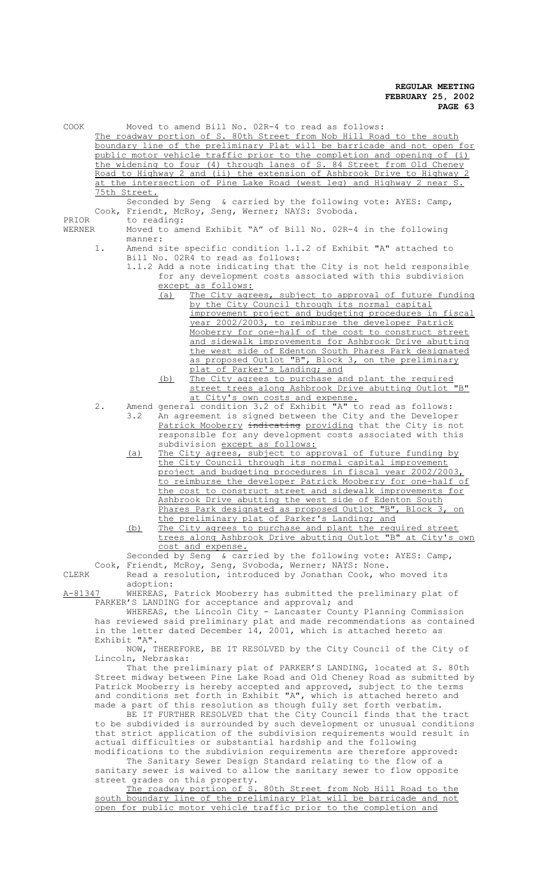| COOK            |                                                                                                                                                |              | Moved to amend Bill No. 02R-4 to read as follows:                                                                                                 |
|-----------------|------------------------------------------------------------------------------------------------------------------------------------------------|--------------|---------------------------------------------------------------------------------------------------------------------------------------------------|
|                 |                                                                                                                                                |              | The roadway portion of S. 80th Street from Nob Hill Road to the south                                                                             |
|                 |                                                                                                                                                |              | boundary line of the preliminary Plat will be barricade and not open for                                                                          |
|                 |                                                                                                                                                |              | public motor vehicle traffic prior to the completion and opening of (i)                                                                           |
|                 |                                                                                                                                                |              | the widening to four (4) through lanes of S. 84 Street from Old Cheney<br>Road to Highway 2 and (ii) the extension of Ashbrook Drive to Highway 2 |
|                 |                                                                                                                                                |              | at the intersection of Pine Lake Road (west leg) and Highway 2 near S.                                                                            |
| PRIOR<br>WERNER |                                                                                                                                                | 75th Street. | Seconded by Seng & carried by the following vote: AYES: Camp,<br>Cook, Friendt, McRoy, Senq, Werner; NAYS: Svoboda.                               |
|                 |                                                                                                                                                | to reading:  |                                                                                                                                                   |
|                 |                                                                                                                                                | manner:      | Moved to amend Exhibit "A" of Bill No. 02R-4 in the following                                                                                     |
|                 | 1.                                                                                                                                             |              | Amend site specific condition 1.1.2 of Exhibit "A" attached to<br>Bill No. 02R4 to read as follows:                                               |
|                 |                                                                                                                                                |              | 1.1.2 Add a note indicating that the City is not held responsible                                                                                 |
|                 |                                                                                                                                                |              | for any development costs associated with this subdivision                                                                                        |
|                 |                                                                                                                                                |              | except as follows:<br>The City agrees, subject to approval of future funding<br>(a)                                                               |
|                 |                                                                                                                                                |              | by the City Council through its normal capital                                                                                                    |
|                 |                                                                                                                                                |              | improvement project and budgeting procedures in fiscal                                                                                            |
|                 |                                                                                                                                                |              | year 2002/2003, to reimburse the developer Patrick<br>Mooberry for one-half of the cost to construct street                                       |
|                 |                                                                                                                                                |              | and sidewalk improvements for Ashbrook Drive abutting                                                                                             |
|                 |                                                                                                                                                |              | the west side of Edenton South Phares Park designated                                                                                             |
|                 |                                                                                                                                                |              | as proposed Outlot "B", Block 3, on the preliminary                                                                                               |
|                 |                                                                                                                                                |              | plat of Parker's Landing; and<br>The City agrees to purchase and plant the required<br>(b)                                                        |
|                 |                                                                                                                                                |              | street trees along Ashbrook Drive abutting Outlot "B"                                                                                             |
|                 |                                                                                                                                                |              | at City's own costs and expense.                                                                                                                  |
|                 | 2.                                                                                                                                             | 3.2          | Amend general condition 3.2 of Exhibit "A" to read as follows:<br>An agreement is signed between the City and the Developer                       |
|                 |                                                                                                                                                |              | Patrick Mooberry indicating providing that the City is not                                                                                        |
|                 |                                                                                                                                                |              | responsible for any development costs associated with this                                                                                        |
|                 |                                                                                                                                                |              | subdivision except as follows:                                                                                                                    |
|                 |                                                                                                                                                | (a)          | The City agrees, subject to approval of future funding by<br>the City Council through its normal capital improvement                              |
|                 |                                                                                                                                                |              | project and budgeting procedures in fiscal year 2002/2003,                                                                                        |
|                 |                                                                                                                                                |              | to reimburse the developer Patrick Mooberry for one-half of                                                                                       |
|                 |                                                                                                                                                |              | the cost to construct street and sidewalk improvements for<br>Ashbrook Drive abutting the west side of Edenton South                              |
|                 |                                                                                                                                                |              | Phares Park designated as proposed Outlot "B", Block 3, on                                                                                        |
|                 |                                                                                                                                                |              | the preliminary plat of Parker's Landing; and                                                                                                     |
|                 |                                                                                                                                                | (b)          | The City agrees to purchase and plant the required street                                                                                         |
|                 |                                                                                                                                                |              | trees along Ashbrook Drive abutting Outlot "B" at City's own<br>cost and expense.                                                                 |
|                 |                                                                                                                                                |              | Seconded by Seng & carried by the following vote: AYES: Camp,                                                                                     |
|                 |                                                                                                                                                |              | Cook, Friendt, McRoy, Seng, Svoboda, Werner; NAYS: None.                                                                                          |
| CLERK           |                                                                                                                                                | adoption:    | Read a resolution, introduced by Jonathan Cook, who moved its                                                                                     |
| A-81347         |                                                                                                                                                |              | WHEREAS, Patrick Mooberry has submitted the preliminary plat of                                                                                   |
|                 |                                                                                                                                                |              | PARKER'S LANDING for acceptance and approval; and                                                                                                 |
|                 |                                                                                                                                                |              | WHEREAS, the Lincoln City - Lancaster County Planning Commission                                                                                  |
|                 | has reviewed said preliminary plat and made recommendations as contained<br>in the letter dated December 14, 2001, which is attached hereto as |              |                                                                                                                                                   |
|                 |                                                                                                                                                | Exhibit "A". |                                                                                                                                                   |
|                 |                                                                                                                                                |              | NOW, THEREFORE, BE IT RESOLVED by the City Council of the City of                                                                                 |
|                 | Lincoln, Nebraska:<br>That the preliminary plat of PARKER'S LANDING, located at S. 80th                                                        |              |                                                                                                                                                   |
|                 | Street midway between Pine Lake Road and Old Cheney Road as submitted by                                                                       |              |                                                                                                                                                   |
|                 | Patrick Mooberry is hereby accepted and approved, subject to the terms                                                                         |              |                                                                                                                                                   |
|                 |                                                                                                                                                |              | and conditions set forth in Exhibit "A", which is attached hereto and                                                                             |
|                 |                                                                                                                                                |              | made a part of this resolution as though fully set forth verbatim.<br>BE IT FURTHER RESOLVED that the City Council finds that the tract           |

BE IT FURTHER RESOLVED that the City Council finds that the tract to be subdivided is surrounded by such development or unusual conditions that strict application of the subdivision requirements would result in actual difficulties or substantial hardship and the following modifications to the subdivision requirements are therefore approved:

The Sanitary Sewer Design Standard relating to the flow of a sanitary sewer is waived to allow the sanitary sewer to flow opposite street grades on this property.

The roadway portion of S. 80th Street from Nob Hill Road to the south boundary line of the preliminary Plat will be barricade and not open for public motor vehicle traffic prior to the completion and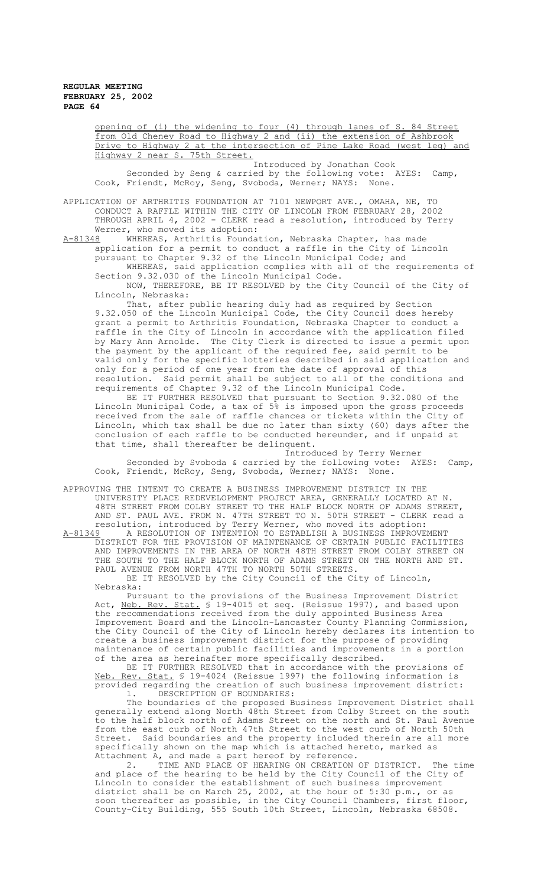opening of (i) the widening to four (4) through lanes of S. 84 Street from Old Cheney Road to Highway 2 and (ii) the extension of Ashbrook Drive to Highway 2 at the intersection of Pine Lake Road (west leg) and Highway 2 near S. 75th Street.

Introduced by Jonathan Cook Seconded by Seng & carried by the following vote: AYES: Camp, Cook, Friendt, McRoy, Seng, Svoboda, Werner; NAYS: None.

APPLICATION OF ARTHRITIS FOUNDATION AT 7101 NEWPORT AVE., OMAHA, NE, TO CONDUCT A RAFFLE WITHIN THE CITY OF LINCOLN FROM FEBRUARY 28, 2002 THROUGH APRIL 4, 2002 - CLERK read a resolution, introduced by Terry Werner, who moved its adoption:<br>A-81348 WHEREAS, Arthritis Founda

WHEREAS, Arthritis Foundation, Nebraska Chapter, has made application for a permit to conduct a raffle in the City of Lincoln pursuant to Chapter 9.32 of the Lincoln Municipal Code; and

WHEREAS, said application complies with all of the requirements of Section 9.32.030 of the Lincoln Municipal Code.

NOW, THEREFORE, BE IT RESOLVED by the City Council of the City of Lincoln, Nebraska:

That, after public hearing duly had as required by Section 9.32.050 of the Lincoln Municipal Code, the City Council does hereby grant a permit to Arthritis Foundation, Nebraska Chapter to conduct a raffle in the City of Lincoln in accordance with the application filed by Mary Ann Arnolde. The City Clerk is directed to issue a permit upon the payment by the applicant of the required fee, said permit to be valid only for the specific lotteries described in said application and only for a period of one year from the date of approval of this resolution. Said permit shall be subject to all of the conditions and requirements of Chapter 9.32 of the Lincoln Municipal Code.

BE IT FURTHER RESOLVED that pursuant to Section 9.32.080 of the Lincoln Municipal Code, a tax of 5% is imposed upon the gross proceeds received from the sale of raffle chances or tickets within the City of Lincoln, which tax shall be due no later than sixty (60) days after the conclusion of each raffle to be conducted hereunder, and if unpaid at that time, shall thereafter be delinquent.

Introduced by Terry Werner Seconded by Svoboda & carried by the following vote: AYES: Camp, Cook, Friendt, McRoy, Seng, Svoboda, Werner; NAYS: None.

APPROVING THE INTENT TO CREATE A BUSINESS IMPROVEMENT DISTRICT IN THE UNIVERSITY PLACE REDEVELOPMENT PROJECT AREA, GENERALLY LOCATED AT N. 48TH STREET FROM COLBY STREET TO THE HALF BLOCK NORTH OF ADAMS STREET, AND ST. PAUL AVE. FROM N. 47TH STREET TO N. 50TH STREET - CLERK read a resolution, introduced by Terry Werner, who moved its adoption:

A-81349 A RESOLUTION OF INTENTION TO ESTABLISH A BUSINESS IMPROVEMENT DISTRICT FOR THE PROVISION OF MAINTENANCE OF CERTAIN PUBLIC FACILITIES AND IMPROVEMENTS IN THE AREA OF NORTH 48TH STREET FROM COLBY STREET ON THE SOUTH TO THE HALF BLOCK NORTH OF ADAMS STREET ON THE NORTH AND ST. PAUL AVENUE FROM NORTH 47TH TO NORTH 50TH STREETS. BE IT RESOLVED by the City Council of the City of Lincoln,

Nebraska:

Pursuant to the provisions of the Business Improvement District Act, <u>Neb. Rev. Stat.</u> § 19-4015 et seq. (Reissue 1997), and based upon the recommendations received from the duly appointed Business Area Improvement Board and the Lincoln-Lancaster County Planning Commission, the City Council of the City of Lincoln hereby declares its intention to create a business improvement district for the purpose of providing maintenance of certain public facilities and improvements in a portion of the area as hereinafter more specifically described.

BE IT FURTHER RESOLVED that in accordance with the provisions of<br>Rev. Stat. § 19-4024 (Reissue 1997) the following information is Neb. Rev. Stat. § 19-4024 (Reissue 1997) the following information is provided regarding the creation of such business improvement district: 1. DESCRIPTION OF BOUNDARIES:

The boundaries of the proposed Business Improvement District shall generally extend along North 48th Street from Colby Street on the south to the half block north of Adams Street on the north and St. Paul Avenue from the east curb of North 47th Street to the west curb of North 50th Street. Said boundaries and the property included therein are all more specifically shown on the map which is attached hereto, marked as Attachment A, and made a part hereof by reference.

2. TIME AND PLACE OF HEARING ON CREATION OF DISTRICT. The time and place of the hearing to be held by the City Council of the City of Lincoln to consider the establishment of such business improvement district shall be on March 25, 2002, at the hour of 5:30 p.m., or as soon thereafter as possible, in the City Council Chambers, first floor, County-City Building, 555 South 10th Street, Lincoln, Nebraska 68508.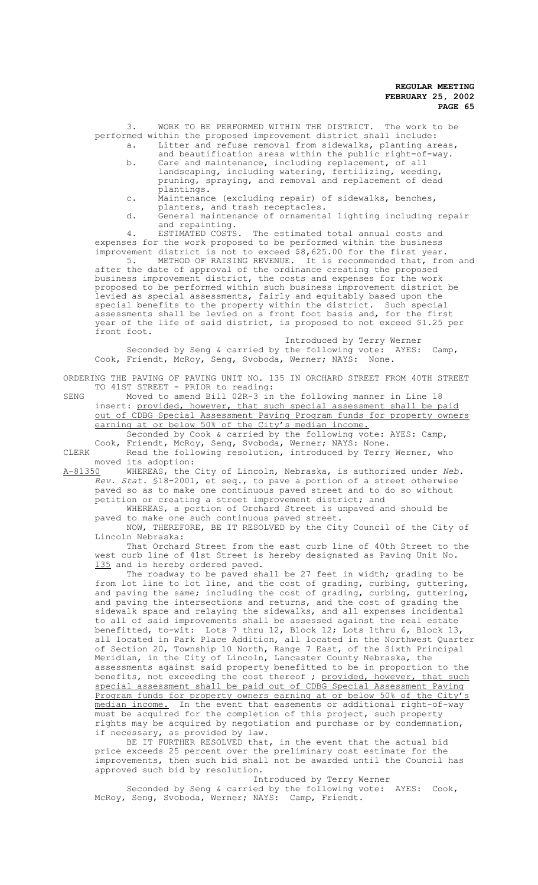3. WORK TO BE PERFORMED WITHIN THE DISTRICT. The work to be performed within the proposed improvement district shall include:

- a. Litter and refuse removal from sidewalks, planting areas, and beautification areas within the public right-of-way.
- b. Care and maintenance, including replacement, of all landscaping, including watering, fertilizing, weeding, pruning, spraying, and removal and replacement of dead plantings.
- c. Maintenance (excluding repair) of sidewalks, benches, planters, and trash receptacles.
- d. General maintenance of ornamental lighting including repair and repainting.<br>ESTIMATED COSTS.

4. ESTIMATED COSTS. The estimated total annual costs and expenses for the work proposed to be performed within the business improvement district is not to exceed \$8,625.00 for the first year.

5. METHOD OF RAISING REVENUE. It is recommended that, from and after the date of approval of the ordinance creating the proposed business improvement district, the costs and expenses for the work proposed to be performed within such business improvement district be levied as special assessments, fairly and equitably based upon the special benefits to the property within the district. Such special assessments shall be levied on a front foot basis and, for the first year of the life of said district, is proposed to not exceed \$1.25 per front foot.

Introduced by Terry Werner Seconded by Seng & carried by the following vote: AYES: Camp, Cook, Friendt, McRoy, Seng, Svoboda, Werner; NAYS: None.

ORDERING THE PAVING OF PAVING UNIT NO. 135 IN ORCHARD STREET FROM 40TH STREET TO 41ST STREET - PRIOR to reading:

SENG Moved to amend Bill 02R-3 in the following manner in Line 18 insert: provided, however, that such special assessment shall be paid out of CDBG Special Assessment Paving Program funds for property owners earning at or below 50% of the City's median income.

Seconded by Cook & carried by the following vote: AYES: Camp, Cook, Friendt, McRoy, Seng, Svoboda, Werner; NAYS: None. CLERK Read the following resolution, introduced by Terry Werner, who

moved its adoption:<br>A-81350 WHEREAS, the

WHEREAS, the City of Lincoln, Nebraska, is authorized under *Neb*. *Rev. Stat.* §18-2001, et seq., to pave a portion of a street otherwise paved so as to make one continuous paved street and to do so without petition or creating a street improvement district; and

WHEREAS, a portion of Orchard Street is unpaved and should be paved to make one such continuous paved street.

NOW, THEREFORE, BE IT RESOLVED by the City Council of the City of Lincoln Nebraska:

That Orchard Street from the east curb line of 40th Street to the west curb line of 41st Street is hereby designated as Paving Unit No. 135 and is hereby ordered paved.

The roadway to be paved shall be 27 feet in width; grading to be from lot line to lot line, and the cost of grading, curbing, guttering, and paving the same; including the cost of grading, curbing, guttering, and paving the intersections and returns, and the cost of grading the sidewalk space and relaying the sidewalks, and all expenses incidental to all of said improvements shall be assessed against the real estate benefitted, to-wit: Lots 7 thru 12, Block 12; Lots 1thru 6, Block 13, all located in Park Place Addition, all located in the Northwest Quarter of Section 20, Township 10 North, Range 7 East, of the Sixth Principal Meridian, in the City of Lincoln, Lancaster County Nebraska, the assessments against said property benefitted to be in proportion to the benefits, not exceeding the cost thereof ; provided, however, that such special assessment shall be paid out of CDBG Special Assessment Paving Program funds for property owners earning at or below 50% of the City's median income. In the event that easements or additional right-of-way must be acquired for the completion of this project, such property rights may be acquired by negotiation and purchase or by condemnation, if necessary, as provided by law.

BE IT FURTHER RESOLVED that, in the event that the actual bid price exceeds 25 percent over the preliminary cost estimate for the improvements, then such bid shall not be awarded until the Council has approved such bid by resolution.

Introduced by Terry Werner Seconded by Seng & carried by the following vote: AYES: Cook, McRoy, Seng, Svoboda, Werner; NAYS: Camp, Friendt.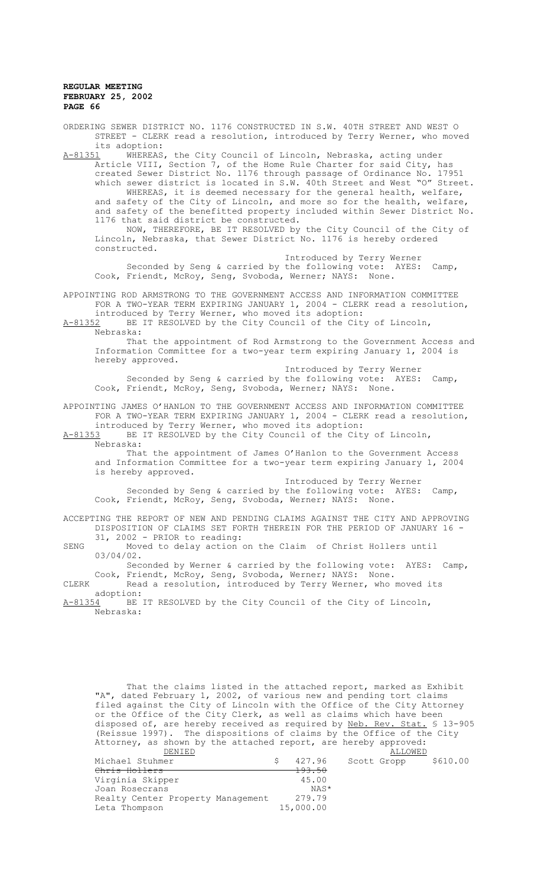STREET - CLERK read a resolution, introduced by Terry Werner, who moved its adoption:<br>A-81351 WHEREAS WHEREAS, the City Council of Lincoln, Nebraska, acting under Article VIII, Section 7, of the Home Rule Charter for said City, has created Sewer District No. 1176 through passage of Ordinance No. 17951 which sewer district is located in S.W. 40th Street and West "O" Street. WHEREAS, it is deemed necessary for the general health, welfare, and safety of the City of Lincoln, and more so for the health, welfare, and safety of the benefitted property included within Sewer District No. 1176 that said district be constructed. NOW, THEREFORE, BE IT RESOLVED by the City Council of the City of Lincoln, Nebraska, that Sewer District No. 1176 is hereby ordered constructed. Introduced by Terry Werner Seconded by Seng & carried by the following vote: AYES: Camp, Cook, Friendt, McRoy, Seng, Svoboda, Werner; NAYS: None. APPOINTING ROD ARMSTRONG TO THE GOVERNMENT ACCESS AND INFORMATION COMMITTEE FOR A TWO-YEAR TERM EXPIRING JANUARY 1, 2004 - CLERK read a resolution, introduced by Terry Werner, who moved its adoption: A-81352 BE IT RESOLVED by the City Council of the City of Lincoln, Nebraska: That the appointment of Rod Armstrong to the Government Access and Information Committee for a two-year term expiring January 1, 2004 is hereby approved. Introduced by Terry Werner Seconded by Seng & carried by the following vote: AYES: Camp, Cook, Friendt, McRoy, Seng, Svoboda, Werner; NAYS: None. APPOINTING JAMES O'HANLON TO THE GOVERNMENT ACCESS AND INFORMATION COMMITTEE FOR A TWO-YEAR TERM EXPIRING JANUARY 1, 2004 - CLERK read a resolution, introduced by Terry Werner, who moved its adoption: A-81353 BE IT RESOLVED by the City Council of the City of Lincoln, Nebraska: That the appointment of James O'Hanlon to the Government Access and Information Committee for a two-year term expiring January 1, 2004 is hereby approved. Introduced by Terry Werner Seconded by Seng & carried by the following vote: AYES: Camp, Cook, Friendt, McRoy, Seng, Svoboda, Werner; NAYS: None. ACCEPTING THE REPORT OF NEW AND PENDING CLAIMS AGAINST THE CITY AND APPROVING DISPOSITION OF CLAIMS SET FORTH THEREIN FOR THE PERIOD OF JANUARY 16 - 31, 2002 - PRIOR to reading: SENG Moved to delay action on the Claim of Christ Hollers until 03/04/02. Seconded by Werner & carried by the following vote: AYES: Camp, Cook, Friendt, McRoy, Seng, Svoboda, Werner; NAYS: None. CLERK Read a resolution, introduced by Terry Werner, who moved its adoption:<br>A-81354 BE BE IT RESOLVED by the City Council of the City of Lincoln, Nebraska: That the claims listed in the attached report, marked as Exhibit "A", dated February 1, 2002, of various new and pending tort claims filed against the City of Lincoln with the Office of the City Attorney or the Office of the City Clerk, as well as claims which have been disposed of, are hereby received as required by <u>Neb. Rev. Stat.</u> § 13-905 (Reissue 1997). The dispositions of claims by the Office of the City Attorney, as shown by the attached report, are hereby approved:<br>DENIED ALLOWED ALLOWED<br>\$ 427.96 Scott Gropp Michael Stuhmer  $\begin{array}{cccc} \text{6} & 427.96 & \text{Scott Group} & \text{$610.00} \\ \text{**Christ Hollers} & & & 193.50 \end{array}**$ ehris Hollers 193.50<br>Virginia Skipper 193.50 Virginia Skipper 15.00<br>Joan Bosecrans 1988 Joan Rosecrans<br>Realty Center Property Management 279.79 Realty Center Property Management 279.79<br>Leta Thompson 15,000.00 Leta Thompson

ORDERING SEWER DISTRICT NO. 1176 CONSTRUCTED IN S.W. 40TH STREET AND WEST O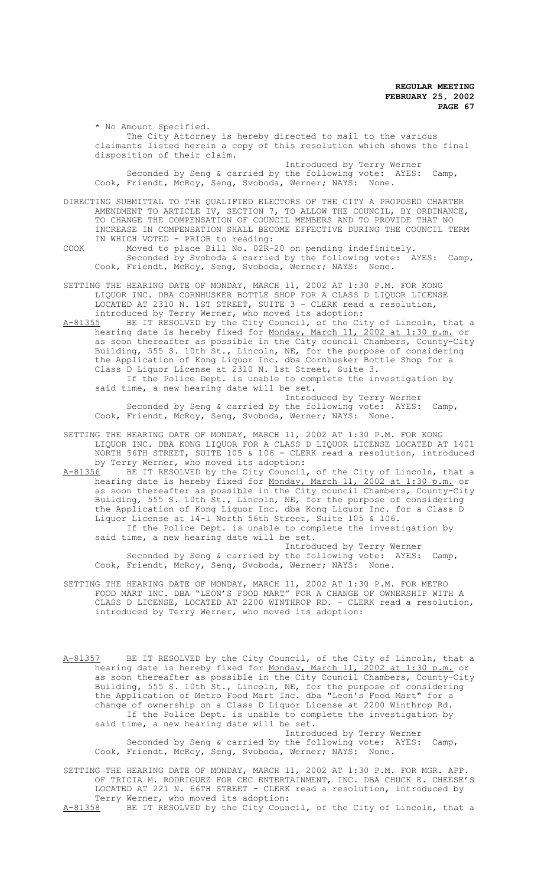\* No Amount Specified. The City Attorney is hereby directed to mail to the various claimants listed herein a copy of this resolution which shows the final disposition of their claim. Introduced by Terry Werner

Seconded by Seng & carried by the following vote: AYES: Camp, Cook, Friendt, McRoy, Seng, Svoboda, Werner; NAYS: None.

DIRECTING SUBMITTAL TO THE QUALIFIED ELECTORS OF THE CITY A PROPOSED CHARTER AMENDMENT TO ARTICLE IV, SECTION 7, TO ALLOW THE COUNCIL, BY ORDINANCE, TO CHANGE THE COMPENSATION OF COUNCIL MEMBERS AND TO PROVIDE THAT NO INCREASE IN COMPENSATION SHALL BECOME EFFECTIVE DURING THE COUNCIL TERM IN WHICH VOTED - PRIOR to reading:

- COOK Moved to place Bill No. 02R-20 on pending indefinitely. Seconded by Svoboda & carried by the following vote: AYES: Camp, Cook, Friendt, McRoy, Seng, Svoboda, Werner; NAYS:
- SETTING THE HEARING DATE OF MONDAY, MARCH 11, 2002 AT 1:30 P.M. FOR KONG LIQUOR INC. DBA CORNHUSKER BOTTLE SHOP FOR A CLASS D LIQUOR LICENSE LOCATED AT 2310 N. 1ST STREET, SUITE 3 - CLERK read a resolution, introduced by Terry Werner, who moved its adoption:

A-81355 BE IT RESOLVED by the City Council, of the City of Lincoln, that a hearing date is hereby fixed for <u>Monday, March 11, 2002 at 1:30 p.m.</u> or as soon thereafter as possible in the City council Chambers, County-City Building, 555 S. 10th St., Lincoln, NE, for the purpose of considering the Application of Kong Liquor Inc. dba Cornhusker Bottle Shop for a Class D Liquor License at 2310 N. 1st Street, Suite 3. If the Police Dept. is unable to complete the investigation by said time, a new hearing date will be set. Introduced by Terry Werner Seconded by Seng & carried by the following vote: AYES: Camp,

Cook, Friendt, McRoy, Seng, Svoboda, Werner; NAYS: None.

SETTING THE HEARING DATE OF MONDAY, MARCH 11, 2002 AT 1:30 P.M. FOR KONG LIQUOR INC. DBA KONG LIQUOR FOR A CLASS D LIQUOR LICENSE LOCATED AT 1401 NORTH 56TH STREET, SUITE 105 & 106 - CLERK read a resolution, introduced by Terry Werner, who moved its adoption:<br>A-81356 BE IT RESOLVED by the City Council,

A-81356 BE IT RESOLVED by the City Council, of the City of Lincoln, that a hearing date is hereby fixed for <u>Monday, March 11, 2002 at 1:30 p.m.</u> or as soon thereafter as possible in the City council Chambers, County-City Building, 555 S. 10th St., Lincoln, NE, for the purpose of considering the Application of Kong Liquor Inc. dba Kong Liquor Inc. for a Class D Liquor License at 14-1 North 56th Street, Suite 105 & 106. If the Police Dept. is unable to complete the investigation by said time, a new hearing date will be set. Introduced by Terry Werner Seconded by Seng & carried by the following vote: AYES: Camp, Cook, Friendt, McRoy, Seng, Svoboda, Werner; NAYS: None.

- SETTING THE HEARING DATE OF MONDAY, MARCH 11, 2002 AT 1:30 P.M. FOR METRO FOOD MART INC. DBA "LEON'S FOOD MART" FOR A CHANGE OF OWNERSHIP WITH A CLASS D LICENSE, LOCATED AT 2200 WINTHROP RD. - CLERK read a resolution, introduced by Terry Werner, who moved its adoption:
- A-81357 BE IT RESOLVED by the City Council, of the City of Lincoln, that a hearing date is hereby fixed for <u>Monday, March 11, 2002 at 1:30 p.m.</u> or as soon thereafter as possible in the City Council Chambers, County-City Building, 555 S. 10th St., Lincoln, NE, for the purpose of considering the Application of Metro Food Mart Inc. dba "Leon's Food Mart" for a change of ownership on a Class D Liquor License at 2200 Winthrop Rd. If the Police Dept. is unable to complete the investigation by said time, a new hearing date will be set. Introduced by Terry Werner

Seconded by Seng & carried by the following vote: AYES: Camp, Cook, Friendt, McRoy, Seng, Svoboda, Werner; NAYS: None.

SETTING THE HEARING DATE OF MONDAY, MARCH 11, 2002 AT 1:30 P.M. FOR MGR. APP. OF TRICIA M. RODRIGUEZ FOR CEC ENTERTAINMENT, INC. DBA CHUCK E. CHEESE'S LOCATED AT 221 N. 66TH STREET - CLERK read a resolution, introduced by Terry Werner, who moved its adoption:<br>A-81358 BE IT RESOLVED by the City Coun

BE IT RESOLVED by the City Council, of the City of Lincoln, that a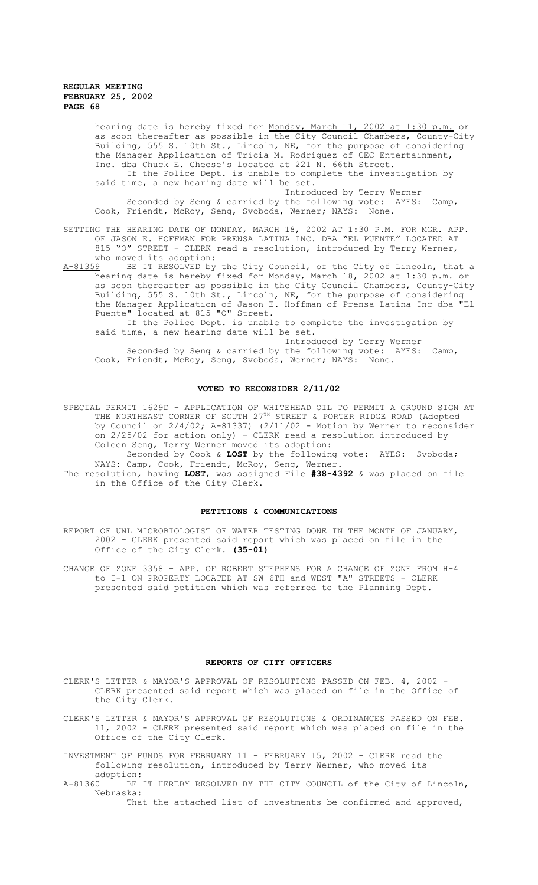hearing date is hereby fixed for <u>Monday, March 11, 2002 at 1:30 p.m.</u> or as soon thereafter as possible in the City Council Chambers, County-City Building, 555 S. 10th St., Lincoln, NE, for the purpose of considering the Manager Application of Tricia M. Rodriguez of CEC Entertainment, Inc. dba Chuck E. Cheese's located at 221 N. 66th Street.

If the Police Dept. is unable to complete the investigation by said time, a new hearing date will be set.

Introduced by Terry Werner Seconded by Seng & carried by the following vote: AYES: Camp, Cook, Friendt, McRoy, Seng, Svoboda, Werner; NAYS: None.

SETTING THE HEARING DATE OF MONDAY, MARCH 18, 2002 AT 1:30 P.M. FOR MGR. APP. OF JASON E. HOFFMAN FOR PRENSA LATINA INC. DBA "EL PUENTE" LOCATED AT 815 "O" STREET - CLERK read a resolution, introduced by Terry Werner, who moved its adoption:<br>A-81359 BE IT RESOLVED by

BE IT RESOLVED by the City Council, of the City of Lincoln, that a hearing date is hereby fixed for Monday, March 18, 2002 at 1:30 p.m. or as soon thereafter as possible in the City Council Chambers, County-City Building, 555 S. 10th St., Lincoln, NE, for the purpose of considering the Manager Application of Jason E. Hoffman of Prensa Latina Inc dba "El Puente" located at 815 "O" Street.

If the Police Dept. is unable to complete the investigation by said time, a new hearing date will be set.

Introduced by Terry Werner Seconded by Seng & carried by the following vote: AYES: Camp, Cook, Friendt, McRoy, Seng, Svoboda, Werner; NAYS: None.

#### **VOTED TO RECONSIDER 2/11/02**

SPECIAL PERMIT 1629D - APPLICATION OF WHITEHEAD OIL TO PERMIT A GROUND SIGN AT THE NORTHEAST CORNER OF SOUTH 27TH STREET & PORTER RIDGE ROAD (Adopted by Council on 2/4/02; A-81337) (2/11/02 - Motion by Werner to reconsider on 2/25/02 for action only) - CLERK read a resolution introduced by Coleen Seng, Terry Werner moved its adoption:

Seconded by Cook & **LOST** by the following vote: AYES: Svoboda; NAYS: Camp, Cook, Friendt, McRoy, Seng, Werner.

The resolution, having **LOST**, was assigned File **#38-4392** & was placed on file in the Office of the City Clerk.

#### **PETITIONS & COMMUNICATIONS**

REPORT OF UNL MICROBIOLOGIST OF WATER TESTING DONE IN THE MONTH OF JANUARY, 2002 - CLERK presented said report which was placed on file in the Office of the City Clerk. **(35-01)**

CHANGE OF ZONE 3358 - APP. OF ROBERT STEPHENS FOR A CHANGE OF ZONE FROM H-4 to I-1 ON PROPERTY LOCATED AT SW 6TH and WEST "A" STREETS - CLERK presented said petition which was referred to the Planning Dept.

#### **REPORTS OF CITY OFFICERS**

CLERK'S LETTER & MAYOR'S APPROVAL OF RESOLUTIONS PASSED ON FEB. 4, 2002 - CLERK presented said report which was placed on file in the Office of the City Clerk.

CLERK'S LETTER & MAYOR'S APPROVAL OF RESOLUTIONS & ORDINANCES PASSED ON FEB. 11, 2002 - CLERK presented said report which was placed on file in the Office of the City Clerk.

INVESTMENT OF FUNDS FOR FEBRUARY 11 - FEBRUARY 15, 2002 - CLERK read the following resolution, introduced by Terry Werner, who moved its

adoption:<br><u>A-81360</u> BE BE IT HEREBY RESOLVED BY THE CITY COUNCIL of the City of Lincoln, Nebraska:

That the attached list of investments be confirmed and approved,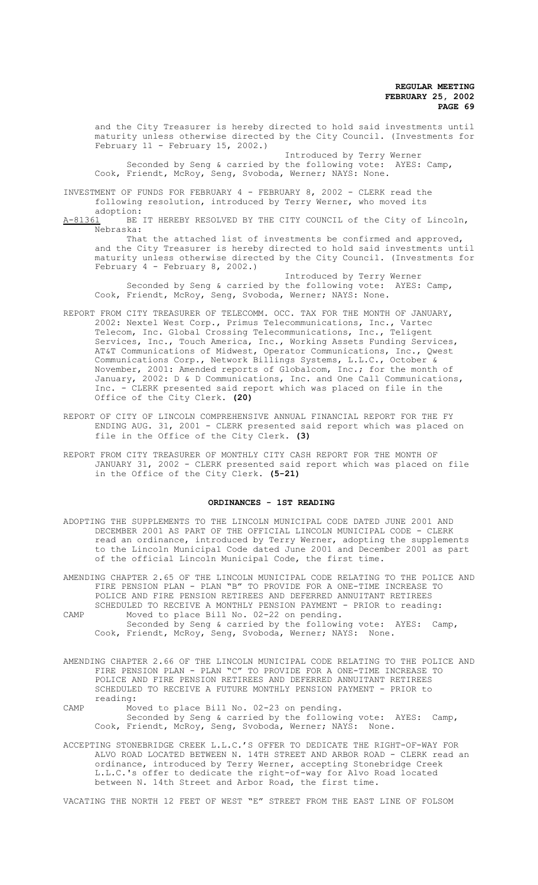and the City Treasurer is hereby directed to hold said investments until maturity unless otherwise directed by the City Council. (Investments for February 11 - February 15, 2002.)

Introduced by Terry Werner Seconded by Seng & carried by the following vote: AYES: Camp, Cook, Friendt, McRoy, Seng, Svoboda, Werner; NAYS: None.

INVESTMENT OF FUNDS FOR FEBRUARY 4 - FEBRUARY 8, 2002 - CLERK read the following resolution, introduced by Terry Werner, who moved its adoption:

A-81361 BE IT HEREBY RESOLVED BY THE CITY COUNCIL of the City of Lincoln, Nebraska: That the attached list of investments be confirmed and approved,

and the City Treasurer is hereby directed to hold said investments until maturity unless otherwise directed by the City Council. (Investments for February 4 - February 8, 2002.)

Introduced by Terry Werner Seconded by Seng & carried by the following vote: AYES: Camp, Cook, Friendt, McRoy, Seng, Svoboda, Werner; NAYS: None.

- REPORT FROM CITY TREASURER OF TELECOMM. OCC. TAX FOR THE MONTH OF JANUARY, 2002: Nextel West Corp., Primus Telecommunications, Inc., Vartec Telecom, Inc. Global Crossing Telecommunications, Inc., Teligent Services, Inc., Touch America, Inc., Working Assets Funding Services, AT&T Communications of Midwest, Operator Communications, Inc., Qwest Communications Corp., Network Billings Systems, L.L.C., October & November, 2001: Amended reports of Globalcom, Inc.; for the month of January, 2002: D & D Communications, Inc. and One Call Communications, Inc. - CLERK presented said report which was placed on file in the Office of the City Clerk. **(20)**
- REPORT OF CITY OF LINCOLN COMPREHENSIVE ANNUAL FINANCIAL REPORT FOR THE FY ENDING AUG. 31, 2001 - CLERK presented said report which was placed on file in the Office of the City Clerk. **(3)**
- REPORT FROM CITY TREASURER OF MONTHLY CITY CASH REPORT FOR THE MONTH OF JANUARY 31, 2002 - CLERK presented said report which was placed on file in the Office of the City Clerk. **(5-21)**

#### **ORDINANCES - 1ST READING**

ADOPTING THE SUPPLEMENTS TO THE LINCOLN MUNICIPAL CODE DATED JUNE 2001 AND DECEMBER 2001 AS PART OF THE OFFICIAL LINCOLN MUNICIPAL CODE - CLERK read an ordinance, introduced by Terry Werner, adopting the supplements to the Lincoln Municipal Code dated June 2001 and December 2001 as part of the official Lincoln Municipal Code, the first time.

AMENDING CHAPTER 2.65 OF THE LINCOLN MUNICIPAL CODE RELATING TO THE POLICE AND FIRE PENSION PLAN - PLAN "B" TO PROVIDE FOR A ONE-TIME INCREASE TO POLICE AND FIRE PENSION RETIREES AND DEFERRED ANNUITANT RETIREES SCHEDULED TO RECEIVE A MONTHLY PENSION PAYMENT - PRIOR to reading:

CAMP Moved to place Bill No. 02-22 on pending. Seconded by Seng & carried by the following vote: AYES: Camp, Cook, Friendt, McRoy, Seng, Svoboda, Werner; NAYS: None.

- AMENDING CHAPTER 2.66 OF THE LINCOLN MUNICIPAL CODE RELATING TO THE POLICE AND FIRE PENSION PLAN - PLAN "C" TO PROVIDE FOR A ONE-TIME INCREASE TO POLICE AND FIRE PENSION RETIREES AND DEFERRED ANNUITANT RETIREES SCHEDULED TO RECEIVE A FUTURE MONTHLY PENSION PAYMENT - PRIOR to reading:
- CAMP Moved to place Bill No. 02-23 on pending. Seconded by Seng & carried by the following vote: AYES: Camp, Cook, Friendt, McRoy, Seng, Svoboda, Werner; NAYS: None.
- ACCEPTING STONEBRIDGE CREEK L.L.C.'S OFFER TO DEDICATE THE RIGHT-OF-WAY FOR ALVO ROAD LOCATED BETWEEN N. 14TH STREET AND ARBOR ROAD - CLERK read an ordinance, introduced by Terry Werner, accepting Stonebridge Creek L.L.C.'s offer to dedicate the right-of-way for Alvo Road located between N. 14th Street and Arbor Road, the first time.

VACATING THE NORTH 12 FEET OF WEST "E" STREET FROM THE EAST LINE OF FOLSOM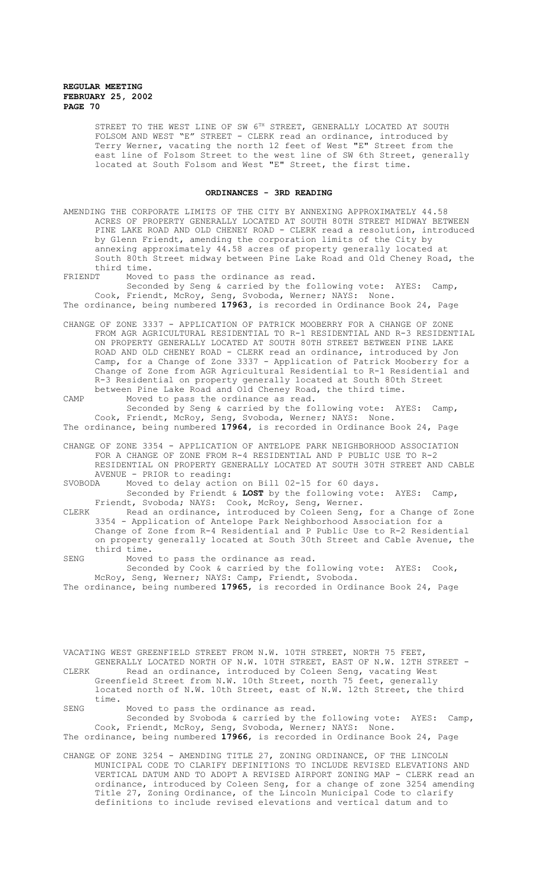STREET TO THE WEST LINE OF SW  $6^{TH}$  STREET, GENERALLY LOCATED AT SOUTH FOLSOM AND WEST "E" STREET - CLERK read an ordinance, introduced by Terry Werner, vacating the north 12 feet of West "E" Street from the east line of Folsom Street to the west line of SW 6th Street, generally located at South Folsom and West "E" Street, the first time.

# **ORDINANCES - 3RD READING**

AMENDING THE CORPORATE LIMITS OF THE CITY BY ANNEXING APPROXIMATELY 44.58 ACRES OF PROPERTY GENERALLY LOCATED AT SOUTH 80TH STREET MIDWAY BETWEEN PINE LAKE ROAD AND OLD CHENEY ROAD - CLERK read a resolution, introduced by Glenn Friendt, amending the corporation limits of the City by annexing approximately 44.58 acres of property generally located at South 80th Street midway between Pine Lake Road and Old Cheney Road, the third time.

FRIENDT Moved to pass the ordinance as read.

Seconded by Seng & carried by the following vote: AYES: Camp, Cook, Friendt, McRoy, Seng, Svoboda, Werner; NAYS: None. The ordinance, being numbered **17963,** is recorded in Ordinance Book 24, Page

CHANGE OF ZONE 3337 - APPLICATION OF PATRICK MOOBERRY FOR A CHANGE OF ZONE FROM AGR AGRICULTURAL RESIDENTIAL TO R-1 RESIDENTIAL AND R-3 RESIDENTIAL ON PROPERTY GENERALLY LOCATED AT SOUTH 80TH STREET BETWEEN PINE LAKE ROAD AND OLD CHENEY ROAD - CLERK read an ordinance, introduced by Jon Camp, for a Change of Zone 3337 - Application of Patrick Mooberry for a Change of Zone from AGR Agricultural Residential to R-1 Residential and R-3 Residential on property generally located at South 80th Street between Pine Lake Road and Old Cheney Road, the third time.

CAMP Moved to pass the ordinance as read. Seconded by Seng & carried by the following vote: AYES: Camp, Cook, Friendt, McRoy, Seng, Svoboda, Werner; NAYS: None. The ordinance, being numbered **17964**, is recorded in Ordinance Book 24, Page

CHANGE OF ZONE 3354 - APPLICATION OF ANTELOPE PARK NEIGHBORHOOD ASSOCIATION FOR A CHANGE OF ZONE FROM R-4 RESIDENTIAL AND P PUBLIC USE TO R-2 RESIDENTIAL ON PROPERTY GENERALLY LOCATED AT SOUTH 30TH STREET AND CABLE AVENUE - PRIOR to reading:<br>SVOBODA Moved to delay action

Moved to delay action on Bill 02-15 for 60 days. Seconded by Friendt & **LOST** by the following vote: AYES: Camp,

Friendt, Svoboda; NAYS: Cook, McRoy, Seng, Werner. CLERK Read an ordinance, introduced by Coleen Seng, for a Change of Zone 3354 - Application of Antelope Park Neighborhood Association for a Change of Zone from R-4 Residential and P Public Use to R-2 Residential on property generally located at South 30th Street and Cable Avenue, the third time.

SENG Moved to pass the ordinance as read. Seconded by Cook & carried by the following vote: AYES: Cook, McRoy, Seng, Werner; NAYS: Camp, Friendt, Svoboda. The ordinance, being numbered **17965**, is recorded in Ordinance Book 24, Page

VACATING WEST GREENFIELD STREET FROM N.W. 10TH STREET, NORTH 75 FEET, GENERALLY LOCATED NORTH OF N.W. 10TH STREET, EAST OF N.W. 12TH STREET - CLERK Read an ordinance, introduced by Coleen Seng, vacating West Greenfield Street from N.W. 10th Street, north 75 feet, generally located north of N.W. 10th Street, east of N.W. 12th Street, the third time.

SENG Moved to pass the ordinance as read. Seconded by Svoboda & carried by the following vote: AYES: Camp, Cook, Friendt, McRoy, Seng, Svoboda, Werner; NAYS: None. The ordinance, being numbered **17966**, is recorded in Ordinance Book 24, Page

CHANGE OF ZONE 3254 - AMENDING TITLE 27, ZONING ORDINANCE, OF THE LINCOLN MUNICIPAL CODE TO CLARIFY DEFINITIONS TO INCLUDE REVISED ELEVATIONS AND VERTICAL DATUM AND TO ADOPT A REVISED AIRPORT ZONING MAP - CLERK read an ordinance, introduced by Coleen Seng, for a change of zone 3254 amending Title 27, Zoning Ordinance, of the Lincoln Municipal Code to clarify definitions to include revised elevations and vertical datum and to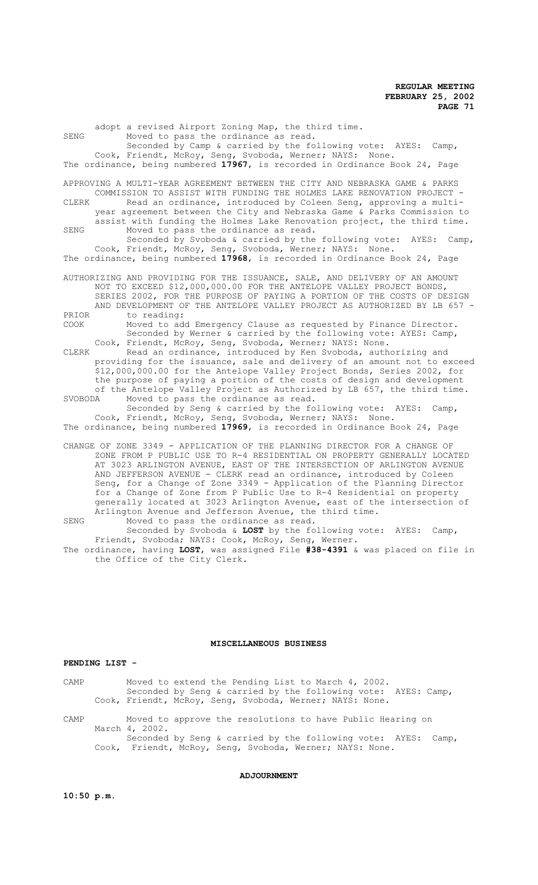adopt a revised Airport Zoning Map, the third time. SENG Moved to pass the ordinance as read. Seconded by Camp & carried by the following vote: AYES: Camp, Cook, Friendt, McRoy, Seng, Svoboda, Werner; NAYS: None. The ordinance, being numbered **17967**, is recorded in Ordinance Book 24, Page APPROVING A MULTI-YEAR AGREEMENT BETWEEN THE CITY AND NEBRASKA GAME & PARKS COMMISSION TO ASSIST WITH FUNDING THE HOLMES LAKE RENOVATION PROJECT - CLERK Read an ordinance, introduced by Coleen Seng, approving a multiyear agreement between the City and Nebraska Game & Parks Commission to assist with funding the Holmes Lake Renovation project, the third time. SENG Moved to pass the ordinance as read. Seconded by Svoboda & carried by the following vote: AYES: Camp, Cook, Friendt, McRoy, Seng, Svoboda, Werner; NAYS: None. The ordinance, being numbered **17968**, is recorded in Ordinance Book 24, Page AUTHORIZING AND PROVIDING FOR THE ISSUANCE, SALE, AND DELIVERY OF AN AMOUNT NOT TO EXCEED \$12,000,000.00 FOR THE ANTELOPE VALLEY PROJECT BONDS, SERIES 2002, FOR THE PURPOSE OF PAYING A PORTION OF THE COSTS OF DESIGN AND DEVELOPMENT OF THE ANTELOPE VALLEY PROJECT AS AUTHORIZED BY LB 657 - PRIOR to reading:<br>COOK Moved to ad Moved to add Emergency Clause as requested by Finance Director. Seconded by Werner & carried by the following vote: AYES: Camp, Cook, Friendt, McRoy, Seng, Svoboda, Werner; NAYS: None. CLERK Read an ordinance, introduced by Ken Svoboda, authorizing and providing for the issuance, sale and delivery of an amount not to exceed \$12,000,000.00 for the Antelope Valley Project Bonds, Series 2002, for the purpose of paying a portion of the costs of design and development of the Antelope Valley Project as Authorized by LB 657, the third time.<br>SVOBODA Moved to pass the ordinance as read. Moved to pass the ordinance as read. Seconded by Seng & carried by the following vote: AYES: Camp, Cook, Friendt, McRoy, Seng, Svoboda, Werner; NAYS: None. The ordinance, being numbered **17969**, is recorded in Ordinance Book 24, Page CHANGE OF ZONE 3349 - APPLICATION OF THE PLANNING DIRECTOR FOR A CHANGE OF ZONE FROM P PUBLIC USE TO R-4 RESIDENTIAL ON PROPERTY GENERALLY LOCATED AT 3023 ARLINGTON AVENUE, EAST OF THE INTERSECTION OF ARLINGTON AVENUE AND JEFFERSON AVENUE - CLERK read an ordinance, introduced by Coleen Seng, for a Change of Zone 3349 - Application of the Planning Director for a Change of Zone from P Public Use to R-4 Residential on property generally located at 3023 Arlington Avenue, east of the intersection of Arlington Avenue and Jefferson Avenue, the third time. SENG Moved to pass the ordinance as read. Seconded by Svoboda & **LOST** by the following vote: AYES: Camp, Friendt, Svoboda; NAYS: Cook, McRoy, Seng, Werner. The ordinance, having **LOST**, was assigned File **#38-4391** & was placed on file in the Office of the City Clerk.

### **MISCELLANEOUS BUSINESS**

#### **PENDING LIST -**

CAMP Moved to extend the Pending List to March 4, 2002. Seconded by Seng & carried by the following vote: AYES: Camp, Cook, Friendt, McRoy, Seng, Svoboda, Werner; NAYS: None.

CAMP Moved to approve the resolutions to have Public Hearing on March 4, 2002. Seconded by Seng & carried by the following vote: AYES: Camp, Cook, Friendt, McRoy, Seng, Svoboda, Werner; NAYS: None.

# **ADJOURNMENT**

**10:50 p.m.**